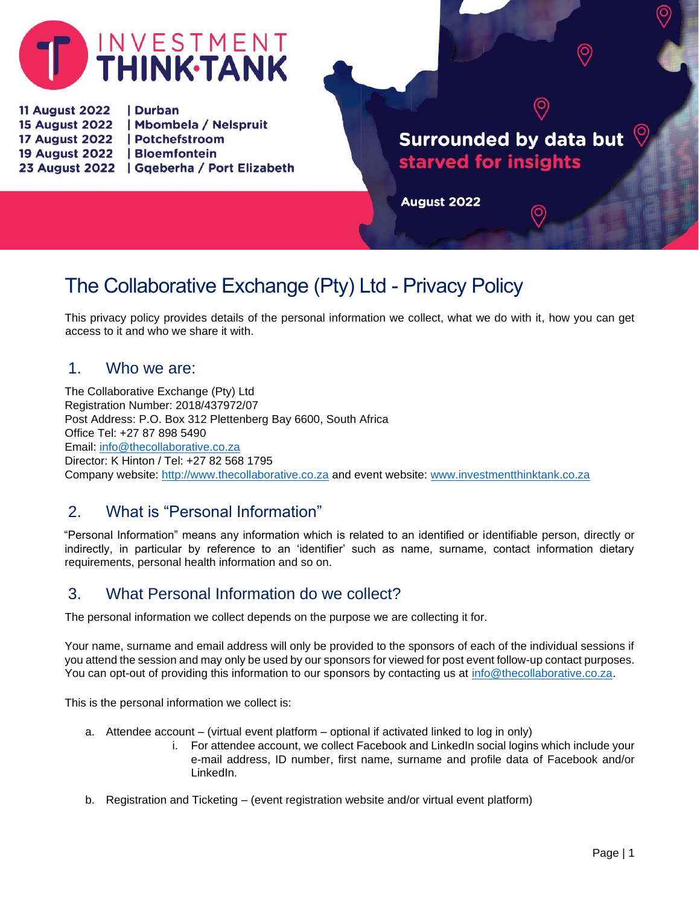

11 August 2022 | Durban 15 August 2022 | Mbombela / Nelspruit 17 August 2022 | Potchefstroom 19 August 2022 | Bloemfontein 23 August 2022 | Gqeberha / Port Elizabeth

# **Surrounded by data but** starved for insights

 $\left( \circ \right)$ 

 $\odot$ 

**August 2022** 

# The Collaborative Exchange (Pty) Ltd - Privacy Policy

This privacy policy provides details of the personal information we collect, what we do with it, how you can get access to it and who we share it with.

#### 1. Who we are:

The Collaborative Exchange (Pty) Ltd Registration Number: 2018/437972/07 Post Address: P.O. Box 312 Plettenberg Bay 6600, South Africa Office Tel: +27 87 898 5490 Email: [info@thecollaborative.co.za](mailto:info@thecollaborative.co.za)  Director: K Hinton / Tel: +27 82 568 1795 Company website: [http://www.thecollaborative.co.za](http://www.thecollaborative.co.za/) and event website: [www.investmentthinktank.co.za](http://www.investmentthinktank.co.za/)

#### 2. What is "Personal Information"

"Personal Information" means any information which is related to an identified or identifiable person, directly or indirectly, in particular by reference to an 'identifier' such as name, surname, contact information dietary requirements, personal health information and so on.

## 3. What Personal Information do we collect?

The personal information we collect depends on the purpose we are collecting it for.

Your name, surname and email address will only be provided to the sponsors of each of the individual sessions if you attend the session and may only be used by our sponsors for viewed for post event follow-up contact purposes. You can opt-out of providing this information to our sponsors by contacting us at [info@thecollaborative.co.za.](mailto:info@thecollaborative.co.za)

This is the personal information we collect is:

- a. Attendee account (virtual event platform optional if activated linked to log in only)
	- i. For attendee account, we collect Facebook and LinkedIn social logins which include your e-mail address, ID number, first name, surname and profile data of Facebook and/or LinkedIn.
- b. Registration and Ticketing (event registration website and/or virtual event platform)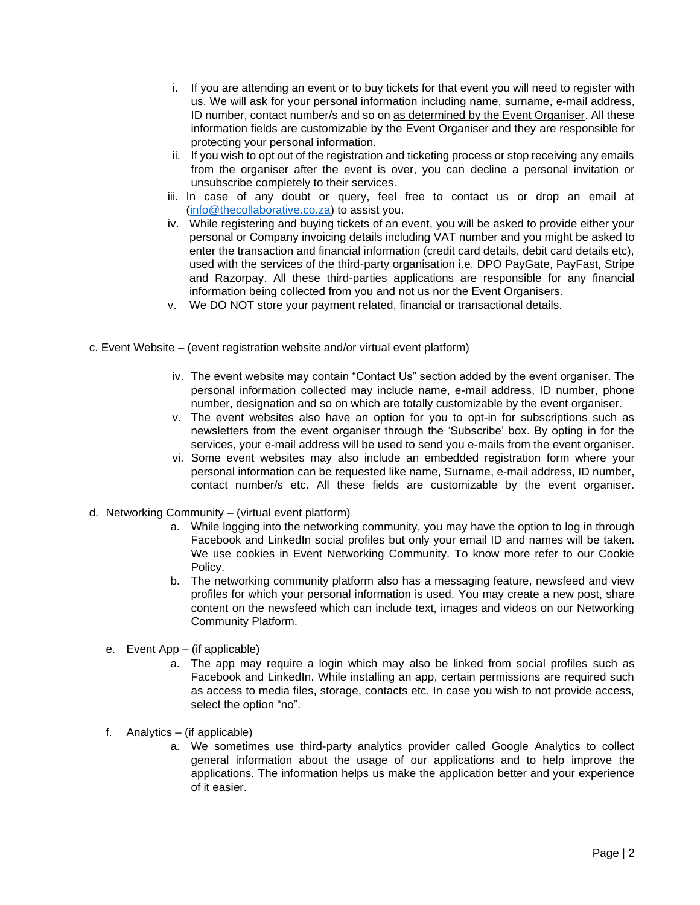- i. If you are attending an event or to buy tickets for that event you will need to register with us. We will ask for your personal information including name, surname, e-mail address, ID number, contact number/s and so on as determined by the Event Organiser. All these information fields are customizable by the Event Organiser and they are responsible for protecting your personal information.
- ii. If you wish to opt out of the registration and ticketing process or stop receiving any emails from the organiser after the event is over, you can decline a personal invitation or unsubscribe completely to their services.
- iii. In case of any doubt or query, feel free to contact us or drop an email at [\(info@thecollaborative.co.za\)](mailto:info@thecollaborative.co.za) to assist you.
- iv. While registering and buying tickets of an event, you will be asked to provide either your personal or Company invoicing details including VAT number and you might be asked to enter the transaction and financial information (credit card details, debit card details etc), used with the services of the third-party organisation i.e. DPO PayGate, PayFast, Stripe and Razorpay. All these third-parties applications are responsible for any financial information being collected from you and not us nor the Event Organisers.
- v. We DO NOT store your payment related, financial or transactional details.
- c. Event Website (event registration website and/or virtual event platform)
	- iv. The event website may contain "Contact Us" section added by the event organiser. The personal information collected may include name, e-mail address, ID number, phone number, designation and so on which are totally customizable by the event organiser.
	- v. The event websites also have an option for you to opt-in for subscriptions such as newsletters from the event organiser through the 'Subscribe' box. By opting in for the services, your e-mail address will be used to send you e-mails from the event organiser.
	- vi. Some event websites may also include an embedded registration form where your personal information can be requested like name, Surname, e-mail address, ID number, contact number/s etc. All these fields are customizable by the event organiser.
- d. Networking Community (virtual event platform)
	- a. While logging into the networking community, you may have the option to log in through Facebook and LinkedIn social profiles but only your email ID and names will be taken. We use cookies in Event Networking Community. To know more refer to our Cookie Policy.
	- b. The networking community platform also has a messaging feature, newsfeed and view profiles for which your personal information is used. You may create a new post, share content on the newsfeed which can include text, images and videos on our Networking Community Platform.
	- e. Event App (if applicable)
		- a. The app may require a login which may also be linked from social profiles such as Facebook and LinkedIn. While installing an app, certain permissions are required such as access to media files, storage, contacts etc. In case you wish to not provide access, select the option "no".
	- f. Analytics (if applicable)
		- a. We sometimes use third-party analytics provider called Google Analytics to collect general information about the usage of our applications and to help improve the applications. The information helps us make the application better and your experience of it easier.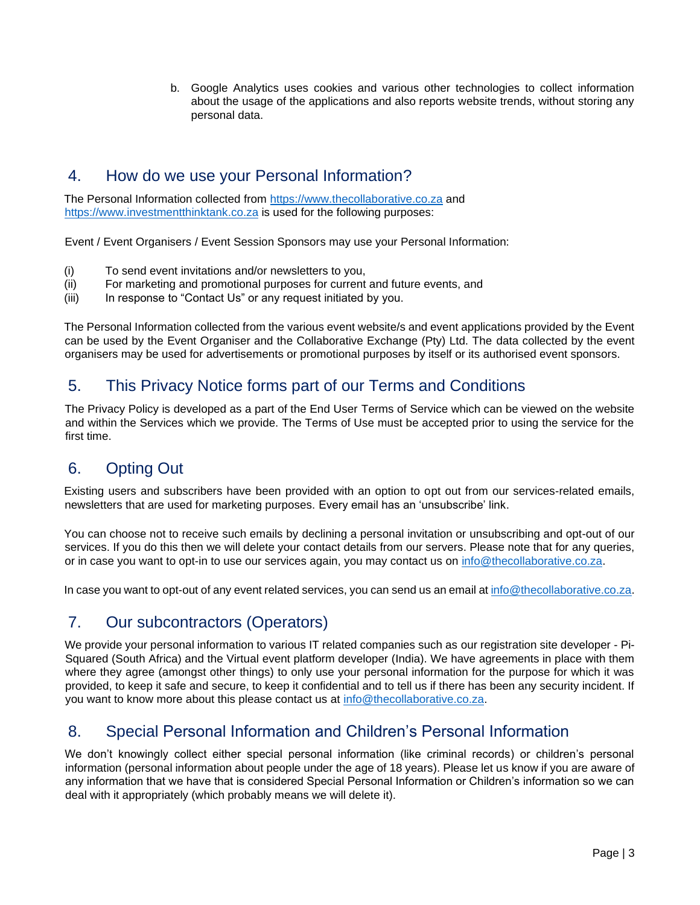b. Google Analytics uses cookies and various other technologies to collect information about the usage of the applications and also reports website trends, without storing any personal data.

#### 4. How do we use your Personal Information?

The Personal Information collected from [https://www.thecollaborative.co.za](https://www.thecollaborative.co.za/) and [https://www.investmentthinktank.co.za](https://www.investmentthinktank.co.za/) is used for the following purposes:

Event / Event Organisers / Event Session Sponsors may use your Personal Information:

- (i) To send event invitations and/or newsletters to you,
- (ii) For marketing and promotional purposes for current and future events, and
- (iii) In response to "Contact Us" or any request initiated by you.

The Personal Information collected from the various event website/s and event applications provided by the Event can be used by the Event Organiser and the Collaborative Exchange (Pty) Ltd. The data collected by the event organisers may be used for advertisements or promotional purposes by itself or its authorised event sponsors.

## 5. This Privacy Notice forms part of our Terms and Conditions

The Privacy Policy is developed as a part of the End User Terms of Service which can be viewed on the website and within the Services which we provide. The Terms of Use must be accepted prior to using the service for the first time.

## 6. Opting Out

Existing users and subscribers have been provided with an option to opt out from our services-related emails, newsletters that are used for marketing purposes. Every email has an 'unsubscribe' link.

You can choose not to receive such emails by declining a personal invitation or unsubscribing and opt-out of our services. If you do this then we will delete your contact details from our servers. Please note that for any queries, or in case you want to opt-in to use our services again, you may contact us on info@thecollaborative.co.za.

In case you want to opt-out of any event related services, you can send us an email a[t info@thecollaborative.co.za.](mailto:info@thecollaborative.co.za)

## 7. Our subcontractors (Operators)

We provide your personal information to various IT related companies such as our registration site developer - Pi-Squared (South Africa) and the Virtual event platform developer (India). We have agreements in place with them where they agree (amongst other things) to only use your personal information for the purpose for which it was provided, to keep it safe and secure, to keep it confidential and to tell us if there has been any security incident. If you want to know more about this please contact us at [info@thecollaborative.co.za.](mailto:info@thecollaborative.co.za)

## 8. Special Personal Information and Children's Personal Information

We don't knowingly collect either special personal information (like criminal records) or children's personal information (personal information about people under the age of 18 years). Please let us know if you are aware of any information that we have that is considered Special Personal Information or Children's information so we can deal with it appropriately (which probably means we will delete it).